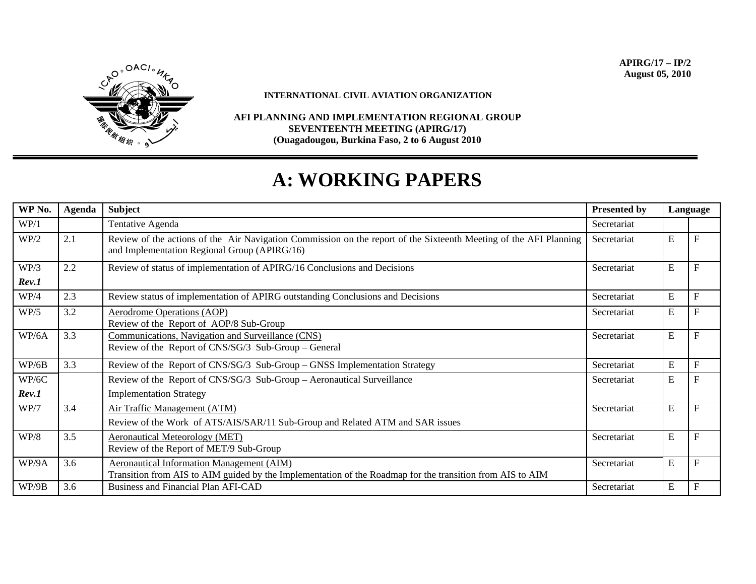

**INTERNATIONAL CIVIL AVIATION ORGANIZATION** 

**AFI PLANNING AND IMPLEMENTATION REGIONAL GROUP SEVENTEENTH MEETING (APIRG/17) (Ouagadougou, Burkina Faso, 2 to 6 August 2010** 

## **A: WORKING PAPERS**

| WP No. | Agenda | <b>Subject</b>                                                                                                                                                    | <b>Presented by</b> | Language |                           |
|--------|--------|-------------------------------------------------------------------------------------------------------------------------------------------------------------------|---------------------|----------|---------------------------|
| WP/1   |        | Tentative Agenda                                                                                                                                                  | Secretariat         |          |                           |
| WP/2   | 2.1    | Review of the actions of the Air Navigation Commission on the report of the Sixteenth Meeting of the AFI Planning<br>and Implementation Regional Group (APIRG/16) | Secretariat         | E        | $\boldsymbol{\mathrm{F}}$ |
| WP/3   | 2.2    | Review of status of implementation of APIRG/16 Conclusions and Decisions                                                                                          | Secretariat         | E        | F                         |
| Rev.1  |        |                                                                                                                                                                   |                     |          |                           |
| WP/4   | 2.3    | Review status of implementation of APIRG outstanding Conclusions and Decisions                                                                                    | Secretariat         | E        | ${\bf F}$                 |
| WP/5   | 3.2    | <b>Aerodrome Operations (AOP)</b><br>Review of the Report of AOP/8 Sub-Group                                                                                      | Secretariat         | E        | $\mathbf{F}$              |
| WP/6A  | 3.3    | Communications, Navigation and Surveillance (CNS)<br>Review of the Report of CNS/SG/3 Sub-Group – General                                                         | Secretariat         | E        | $\mathbf{F}$              |
| WP/6B  | 3.3    | Review of the Report of CNS/SG/3 Sub-Group – GNSS Implementation Strategy                                                                                         | Secretariat         | E        | ${\bf F}$                 |
| WP/6C  |        | Review of the Report of CNS/SG/3 Sub-Group - Aeronautical Surveillance                                                                                            | Secretariat         | E        | $\boldsymbol{\mathrm{F}}$ |
| Rev.1  |        | <b>Implementation Strategy</b>                                                                                                                                    |                     |          |                           |
| WP/7   | 3.4    | Air Traffic Management (ATM)<br>Review of the Work of ATS/AIS/SAR/11 Sub-Group and Related ATM and SAR issues                                                     | Secretariat         | E        | $\mathbf{F}$              |
| WP/8   | 3.5    | <b>Aeronautical Meteorology (MET)</b><br>Review of the Report of MET/9 Sub-Group                                                                                  | Secretariat         | E        | $\overline{F}$            |
| WP/9A  | 3.6    | <b>Aeronautical Information Management (AIM)</b><br>Transition from AIS to AIM guided by the Implementation of the Roadmap for the transition from AIS to AIM     | Secretariat         | E        | $\mathbf{F}$              |
| WP/9B  | 3.6    | <b>Business and Financial Plan AFI-CAD</b>                                                                                                                        | Secretariat         | E        | ${\bf F}$                 |

**APIRG/17 – IP/2 August 05, 2010**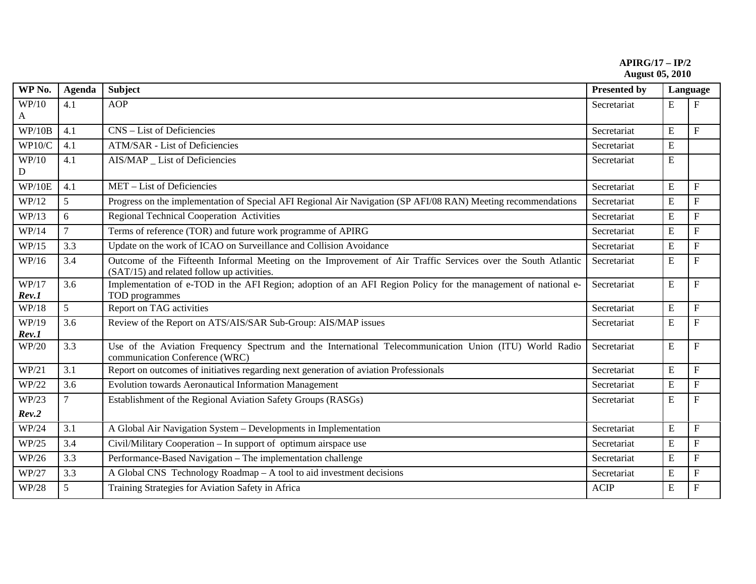**APIRG/17 – IP/2 August 05, 2010** 

| WP No.         | <b>Agenda</b>  | <b>Subject</b>                                                                                                                                             | <b>Presented by</b> | Language  |                           |
|----------------|----------------|------------------------------------------------------------------------------------------------------------------------------------------------------------|---------------------|-----------|---------------------------|
| WP/10          | 4.1            | <b>AOP</b>                                                                                                                                                 | Secretariat         | E         | F                         |
| A              |                |                                                                                                                                                            |                     |           |                           |
| WP/10B         | 4.1            | CNS - List of Deficiencies                                                                                                                                 | Secretariat         | E         | $\mathbf{F}$              |
| WP10/C         | 4.1            | ATM/SAR - List of Deficiencies                                                                                                                             | Secretariat         | ${\bf E}$ |                           |
| WP/10<br>D     | 4.1            | AIS/MAP _ List of Deficiencies                                                                                                                             | Secretariat         | ${\bf E}$ |                           |
| WP/10E         | 4.1            | MET - List of Deficiencies                                                                                                                                 | Secretariat         | E         | $\mathbf{F}$              |
| WP/12          | 5              | Progress on the implementation of Special AFI Regional Air Navigation (SP AFI/08 RAN) Meeting recommendations                                              | Secretariat         | ${\bf E}$ | $\mathbf F$               |
| WP/13          | 6              | <b>Regional Technical Cooperation Activities</b>                                                                                                           | Secretariat         | ${\bf E}$ | $\mathbf F$               |
| WP/14          | $\overline{7}$ | Terms of reference (TOR) and future work programme of APIRG                                                                                                | Secretariat         | E         | ${\bf F}$                 |
| WP/15          | 3.3            | Update on the work of ICAO on Surveillance and Collision Avoidance                                                                                         | Secretariat         | E         | $\mathbf{F}$              |
| WP/16          | 3.4            | Outcome of the Fifteenth Informal Meeting on the Improvement of Air Traffic Services over the South Atlantic<br>(SAT/15) and related follow up activities. | Secretariat         | E         | $\mathbf{F}$              |
| WP/17<br>Rev.1 | 3.6            | Implementation of e-TOD in the AFI Region; adoption of an AFI Region Policy for the management of national e-<br>TOD programmes                            | Secretariat         | ${\bf E}$ | $\mathbf F$               |
| WP/18          | 5              | Report on TAG activities                                                                                                                                   | Secretariat         | ${\bf E}$ | $\boldsymbol{\mathrm{F}}$ |
| WP/19<br>Rev.1 | 3.6            | Review of the Report on ATS/AIS/SAR Sub-Group: AIS/MAP issues                                                                                              | Secretariat         | ${\bf E}$ | $\boldsymbol{\mathrm{F}}$ |
| WP/20          | 3.3            | Use of the Aviation Frequency Spectrum and the International Telecommunication Union (ITU) World Radio<br>communication Conference (WRC)                   | Secretariat         | ${\bf E}$ | $\mathbf F$               |
| WP/21          | 3.1            | Report on outcomes of initiatives regarding next generation of aviation Professionals                                                                      | Secretariat         | ${\bf E}$ | $\mathbf{F}$              |
| WP/22          | 3.6            | Evolution towards Aeronautical Information Management                                                                                                      | Secretariat         | E         | $\boldsymbol{\mathrm{F}}$ |
| WP/23          | $\tau$         | Establishment of the Regional Aviation Safety Groups (RASGs)                                                                                               | Secretariat         | ${\bf E}$ | $\boldsymbol{\mathrm{F}}$ |
| Rev.2          |                |                                                                                                                                                            |                     |           |                           |
| WP/24          | 3.1            | A Global Air Navigation System – Developments in Implementation                                                                                            | Secretariat         | E         | $\mathbf F$               |
| WP/25          | 3.4            | Civil/Military Cooperation – In support of optimum airspace use                                                                                            | Secretariat         | E         | $\mathbf{F}$              |
| WP/26          | 3.3            | Performance-Based Navigation – The implementation challenge                                                                                                | Secretariat         | E         | $\boldsymbol{\mathrm{F}}$ |
| WP/27          | 3.3            | A Global CNS Technology Roadmap - A tool to aid investment decisions                                                                                       | Secretariat         | ${\bf E}$ | $\boldsymbol{\mathrm{F}}$ |
| WP/28          | 5 <sup>5</sup> | Training Strategies for Aviation Safety in Africa                                                                                                          | <b>ACIP</b>         | ${\bf E}$ | $\mathbf{F}$              |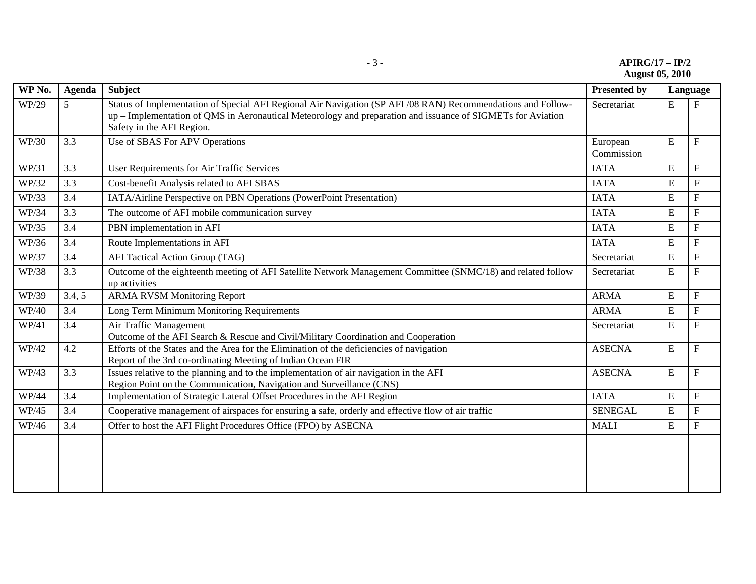| $APIRG/17 - IP/2$<br>- 1 - |  |
|----------------------------|--|
| <b>August 05, 2010</b>     |  |

| WP No. | <b>Agenda</b> | Subject                                                                                                                                                                                                                                                  | <b>Presented by</b>    | Language  |                           |
|--------|---------------|----------------------------------------------------------------------------------------------------------------------------------------------------------------------------------------------------------------------------------------------------------|------------------------|-----------|---------------------------|
| WP/29  | 5             | Status of Implementation of Special AFI Regional Air Navigation (SP AFI /08 RAN) Recommendations and Follow-<br>up – Implementation of QMS in Aeronautical Meteorology and preparation and issuance of SIGMETs for Aviation<br>Safety in the AFI Region. | Secretariat            | E         | $\boldsymbol{\mathrm{F}}$ |
| WP/30  | 3.3           | Use of SBAS For APV Operations                                                                                                                                                                                                                           | European<br>Commission | E         | $\mathbf{F}$              |
| WP/31  | 3.3           | User Requirements for Air Traffic Services                                                                                                                                                                                                               | <b>IATA</b>            | E         | $\mathbf{F}$              |
| WP/32  | 3.3           | Cost-benefit Analysis related to AFI SBAS                                                                                                                                                                                                                | <b>IATA</b>            | E         | $\mathbf F$               |
| WP/33  | 3.4           | IATA/Airline Perspective on PBN Operations (PowerPoint Presentation)                                                                                                                                                                                     | <b>IATA</b>            | E         | ${\bf F}$                 |
| WP/34  | 3.3           | The outcome of AFI mobile communication survey                                                                                                                                                                                                           | <b>IATA</b>            | ${\bf E}$ | $\mathbf F$               |
| WP/35  | 3.4           | PBN implementation in AFI                                                                                                                                                                                                                                | <b>IATA</b>            | E         | ${\bf F}$                 |
| WP/36  | 3.4           | Route Implementations in AFI                                                                                                                                                                                                                             | <b>IATA</b>            | E         | $\boldsymbol{\mathrm{F}}$ |
| WP/37  | 3.4           | AFI Tactical Action Group (TAG)                                                                                                                                                                                                                          | Secretariat            | E         | $\mathbf F$               |
| WP/38  | 3.3           | Outcome of the eighteenth meeting of AFI Satellite Network Management Committee (SNMC/18) and related follow<br>up activities                                                                                                                            | Secretariat            | ${\bf E}$ | ${\bf F}$                 |
| WP/39  | 3.4, 5        | <b>ARMA RVSM Monitoring Report</b>                                                                                                                                                                                                                       | <b>ARMA</b>            | ${\bf E}$ | ${\bf F}$                 |
| WP/40  | 3.4           | Long Term Minimum Monitoring Requirements                                                                                                                                                                                                                | <b>ARMA</b>            | E         | $\mathbf{F}$              |
| WP/41  | 3.4           | Air Traffic Management<br>Outcome of the AFI Search & Rescue and Civil/Military Coordination and Cooperation                                                                                                                                             | Secretariat            | E         | ${\bf F}$                 |
| WP/42  | 4.2           | Efforts of the States and the Area for the Elimination of the deficiencies of navigation<br>Report of the 3rd co-ordinating Meeting of Indian Ocean FIR                                                                                                  | <b>ASECNA</b>          | ${\bf E}$ | ${\bf F}$                 |
| WP/43  | 3.3           | Issues relative to the planning and to the implementation of air navigation in the AFI<br>Region Point on the Communication, Navigation and Surveillance (CNS)                                                                                           | <b>ASECNA</b>          | E         | $\mathbf F$               |
| WP/44  | 3.4           | Implementation of Strategic Lateral Offset Procedures in the AFI Region                                                                                                                                                                                  | <b>IATA</b>            | E         | $\boldsymbol{\mathrm{F}}$ |
| WP/45  | 3.4           | Cooperative management of airspaces for ensuring a safe, orderly and effective flow of air traffic                                                                                                                                                       | <b>SENEGAL</b>         | E         | $\mathbf F$               |
| WP/46  | 3.4           | Offer to host the AFI Flight Procedures Office (FPO) by ASECNA                                                                                                                                                                                           | <b>MALI</b>            | E         | $\mathbf F$               |
|        |               |                                                                                                                                                                                                                                                          |                        |           |                           |